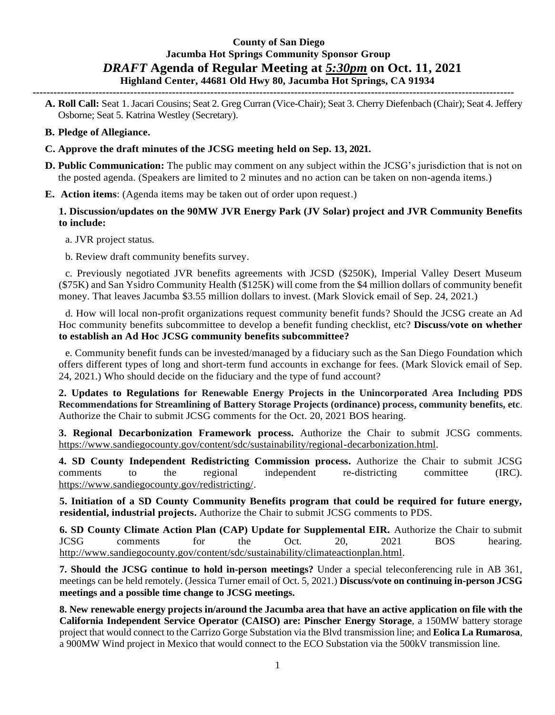# **County of San Diego Jacumba Hot Springs Community Sponsor Group** *DRAFT* **Agenda of Regular Meeting at** *5:30pm* **on Oct. 11, 2021 Highland Center, 44681 Old Hwy 80, Jacumba Hot Springs, CA 91934**

**------------------------------------------------------------------------------------------------------------------------------------------**

- **A. Roll Call:** Seat 1. Jacari Cousins; Seat 2. Greg Curran (Vice-Chair); Seat 3. Cherry Diefenbach (Chair); Seat 4. Jeffery Osborne; Seat 5. Katrina Westley (Secretary).
- **B. Pledge of Allegiance.**
- **C. Approve the draft minutes of the JCSG meeting held on Sep. 13, 2021.**
- **D. Public Communication:** The public may comment on any subject within the JCSG's jurisdiction that is not on the posted agenda. (Speakers are limited to 2 minutes and no action can be taken on non-agenda items.)
- **E. Action items**: (Agenda items may be taken out of order upon request.)

### **1. Discussion/updates on the 90MW JVR Energy Park (JV Solar) project and JVR Community Benefits to include:**

a. JVR project status.

b. Review draft community benefits survey.

c. Previously negotiated JVR benefits agreements with JCSD (\$250K), Imperial Valley Desert Museum (\$75K) and San Ysidro Community Health (\$125K) will come from the \$4 million dollars of community benefit money. That leaves Jacumba \$3.55 million dollars to invest. (Mark Slovick email of Sep. 24, 2021.)

d. How will local non-profit organizations request community benefit funds? Should the JCSG create an Ad Hoc community benefits subcommittee to develop a benefit funding checklist, etc? **Discuss/vote on whether to establish an Ad Hoc JCSG community benefits subcommittee?**

e. Community benefit funds can be invested/managed by a fiduciary such as the San Diego Foundation which offers different types of long and short-term fund accounts in exchange for fees. (Mark Slovick email of Sep. 24, 2021.) Who should decide on the fiduciary and the type of fund account?

**2. Updates to Regulations for Renewable Energy Projects in the Unincorporated Area Including PDS Recommendations for Streamlining of Battery Storage Projects (ordinance) process, community benefits, etc**. Authorize the Chair to submit JCSG comments for the Oct. 20, 2021 BOS hearing.

**3. Regional Decarbonization Framework process.** Authorize the Chair to submit JCSG comments. https://www.sandiegocounty.gov/content/sdc/sustainability/regional-decarbonization.html.

**4. SD County Independent Redistricting Commission process.** Authorize the Chair to submit JCSG comments to the regional independent re-districting committee (IRC). https://www.sandiegocounty.gov/redistricting/.

**5. Initiation of a SD County Community Benefits program that could be required for future energy, residential, industrial projects.** Authorize the Chair to submit JCSG comments to PDS.

**6. SD County Climate Action Plan (CAP) Update for Supplemental EIR.** Authorize the Chair to submit JCSG comments for the Oct. 20, 2021 BOS hearing. http://www.sandiegocounty.gov/content/sdc/sustainability/climateactionplan.html.

**7. Should the JCSG continue to hold in-person meetings?** Under a special teleconferencing rule in AB 361, meetings can be held remotely. (Jessica Turner email of Oct. 5, 2021.) **Discuss/vote on continuing in-person JCSG meetings and a possible time change to JCSG meetings.**

**8. New renewable energy projects in/around the Jacumba area that have an active application on file with the California Independent Service Operator (CAISO) are: Pinscher Energy Storage**, a 150MW battery storage project that would connect to the Carrizo Gorge Substation via the Blvd transmission line; and **Eolica La Rumarosa**, a 900MW Wind project in Mexico that would connect to the ECO Substation via the 500kV transmission line.